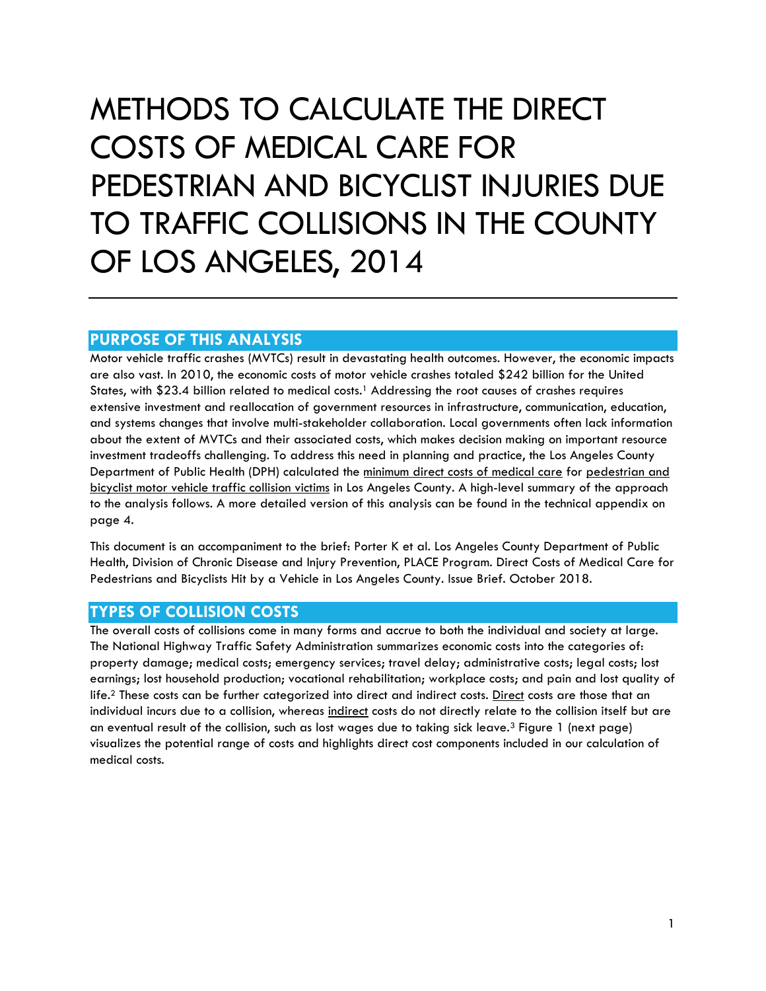## METHODS TO CALCULATE THE DIRECT COSTS OF MEDICAL CARE FOR PEDESTRIAN AND BICYCLIST INJURIES DUE TO TRAFFIC COLLISIONS IN THE COUNTY OF LOS ANGELES, 2014

## **PURPOSE OF THIS ANALYSIS**

Motor vehicle traffic crashes (MVTCs) result in devastating health outcomes. However, the economic impacts are also vast. In 2010, the economic costs of motor vehicle crashes totaled \$242 billion for the United States, with \$23.4 billion related to medical costs.1 Addressing the root causes of crashes requires extensive investment and reallocation of government resources in infrastructure, communication, education, and systems changes that involve multi-stakeholder collaboration. Local governments often lack information about the extent of MVTCs and their associated costs, which makes decision making on important resource investment tradeoffs challenging. To address this need in planning and practice, the Los Angeles County Department of Public Health (DPH) calculated the minimum direct costs of medical care for pedestrian and bicyclist motor vehicle traffic collision victims in Los Angeles County. A high-level summary of the approach to the analysis follows. A more detailed version of this analysis can be found in the technical appendix on page 4.

This document is an accompaniment to the brief: Porter K et al. Los Angeles County Department of Public Health, Division of Chronic Disease and Injury Prevention, PLACE Program. Direct Costs of Medical Care for Pedestrians and Bicyclists Hit by a Vehicle in Los Angeles County. Issue Brief. October 2018.

## **TYPES OF COLLISION COSTS**

The overall costs of collisions come in many forms and accrue to both the individual and society at large. The National Highway Traffic Safety Administration summarizes economic costs into the categories of: property damage; medical costs; emergency services; travel delay; administrative costs; legal costs; lost earnings; lost household production; vocational rehabilitation; workplace costs; and pain and lost quality of life.<sup>2</sup> These costs can be further categorized into direct and indirect costs. Direct costs are those that an individual incurs due to a collision, whereas indirect costs do not directly relate to the collision itself but are an eventual result of the collision, such as lost wages due to taking sick leave.3 Figure 1 (next page) visualizes the potential range of costs and highlights direct cost components included in our calculation of medical costs.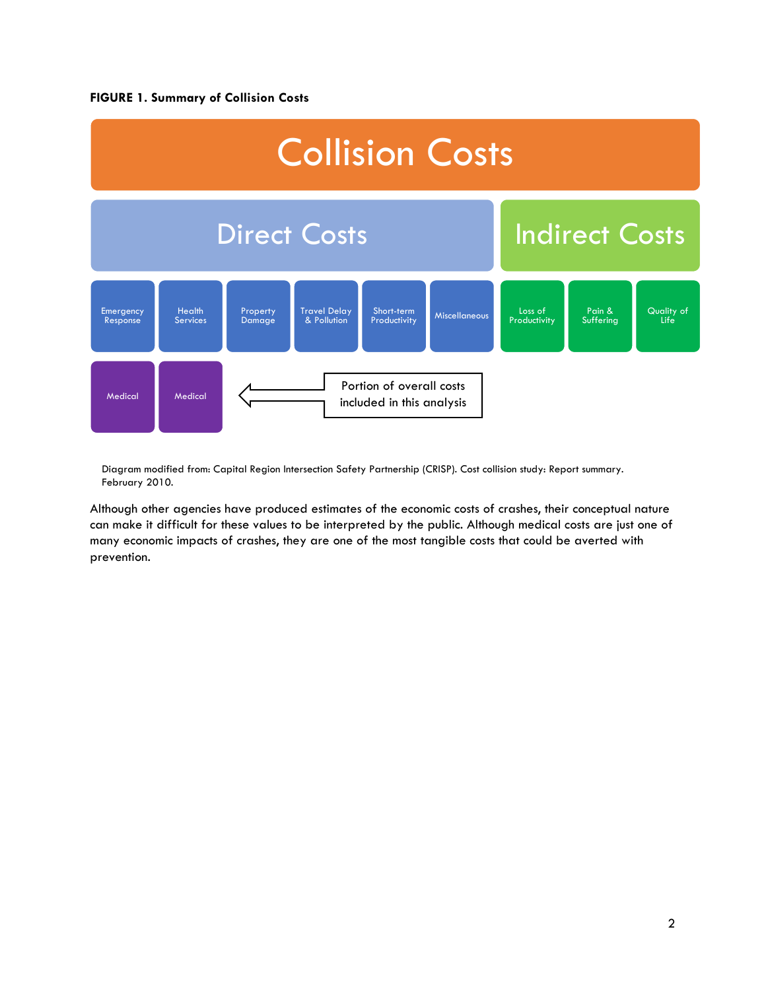#### **FIGURE 1. Summary of Collision Costs**



Diagram modified from: Capital Region Intersection Safety Partnership (CRISP). Cost collision study: Report summary. February 2010.

Although other agencies have produced estimates of the economic costs of crashes, their conceptual nature can make it difficult for these values to be interpreted by the public. Although medical costs are just one of many economic impacts of crashes, they are one of the most tangible costs that could be averted with prevention.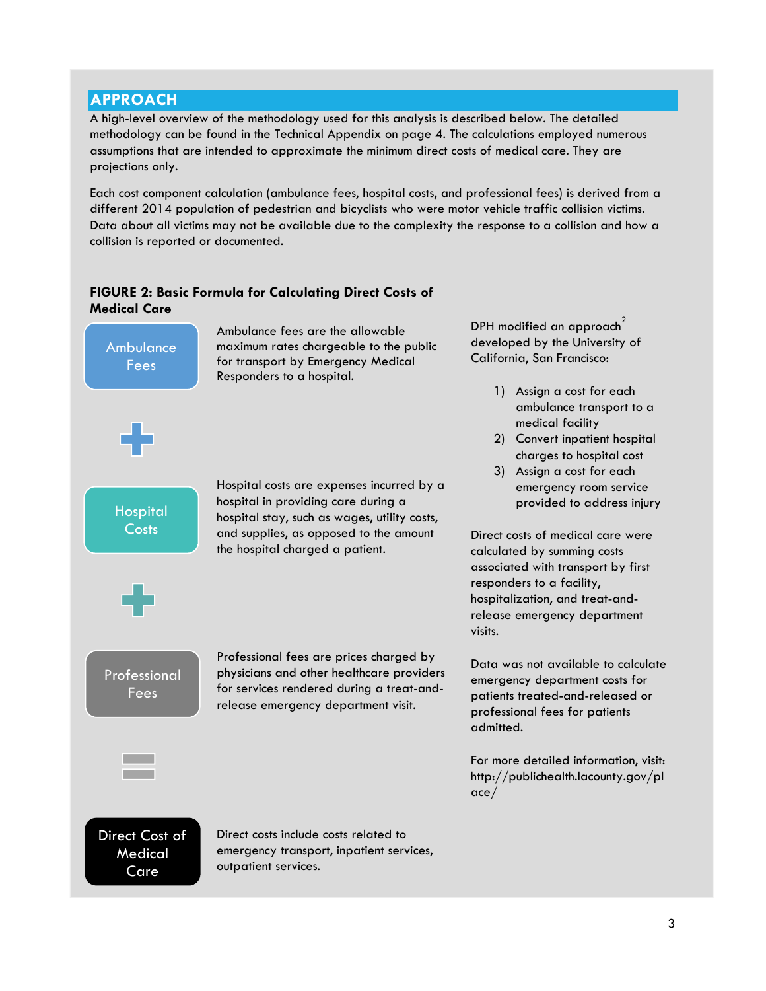## **APPROACH**

A high-level overview of the methodology used for this analysis is described below. The detailed methodology can be found in the Technical Appendix on page 4. The calculations employed numerous assumptions that are intended to approximate the minimum direct costs of medical care. They are projections only.

Each cost component calculation (ambulance fees, hospital costs, and professional fees) is derived from a different 2014 population of pedestrian and bicyclists who were motor vehicle traffic collision victims. Data about all victims may not be available due to the complexity the response to a collision and how a collision is reported or documented.

## **FIGURE 2: Basic Formula for Calculating Direct Costs of Medical Care**

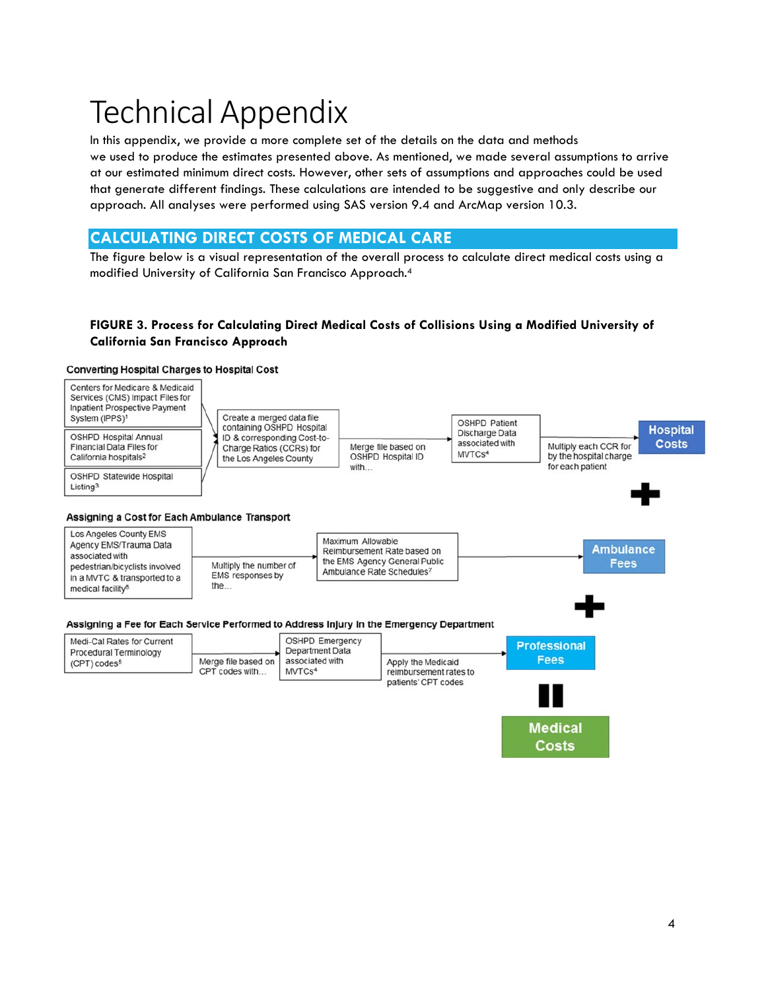# Technical Appendix

In this appendix, we provide a more complete set of the details on the data and methods we used to produce the estimates presented above. As mentioned, we made several assumptions to arrive at our estimated minimum direct costs. However, other sets of assumptions and approaches could be used that generate different findings. These calculations are intended to be suggestive and only describe our approach. All analyses were performed using SAS version 9.4 and ArcMap version 10.3.

## **CALCULATING DIRECT COSTS OF MEDICAL CARE**

The figure below is a visual representation of the overall process to calculate direct medical costs using a modified University of California San Francisco Approach.4

#### **FIGURE 3. Process for Calculating Direct Medical Costs of Collisions Using a Modified University of California San Francisco Approach**

#### **Converting Hospital Charges to Hospital Cost**



| Medi-Cal Rates for Current<br>Procedural Terminology<br>$(CPT)$ codes <sup>5</sup> | Merge file based on<br>CPT codes with | <b>OSHPD Emergency</b><br>Department Data<br>associated with<br>MVTCs <sup>4</sup> |                                                                     | <b>Professional</b> |
|------------------------------------------------------------------------------------|---------------------------------------|------------------------------------------------------------------------------------|---------------------------------------------------------------------|---------------------|
|                                                                                    |                                       |                                                                                    | Apply the Medicaid<br>reimbursement rates to<br>patients' CPT codes | <b>Fees</b>         |
|                                                                                    |                                       |                                                                                    |                                                                     |                     |

**Medical** Costs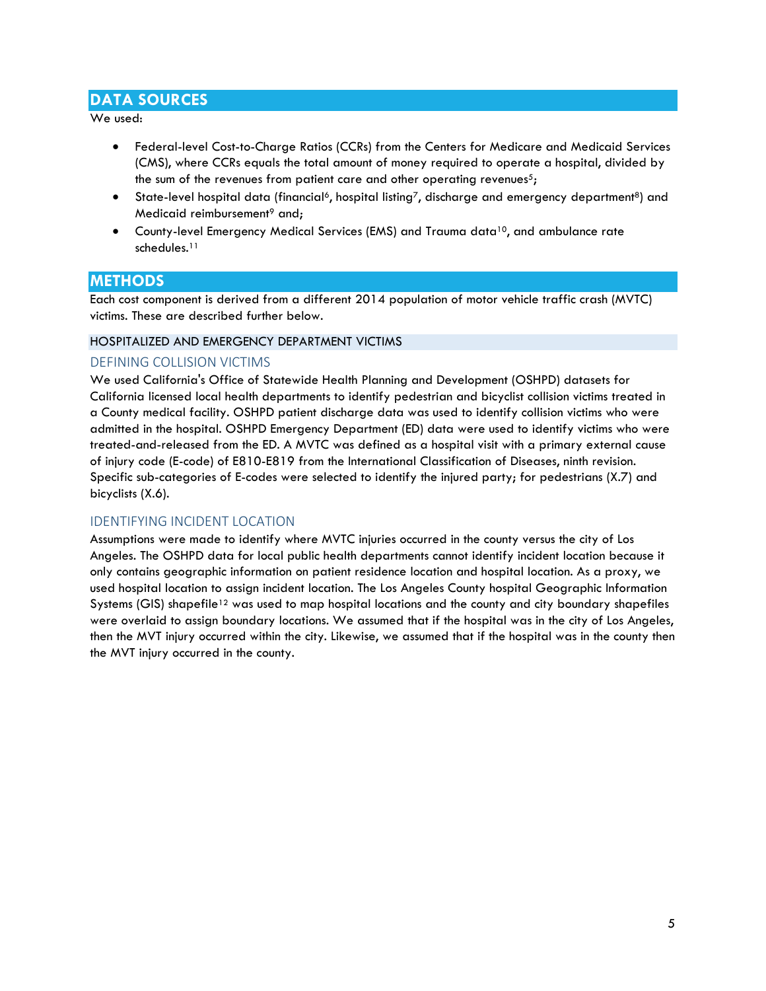## **DATA SOURCES**

We used:

- Federal-level Cost-to-Charge Ratios (CCRs) from the Centers for Medicare and Medicaid Services (CMS), where CCRs equals the total amount of money required to operate a hospital, divided by the sum of the revenues from patient care and other operating revenues<sup>5</sup>;
- State-level hospital data (financial<sup>6</sup>, hospital listing<sup>7</sup>, discharge and emergency department<sup>8</sup>) and Medicaid reimbursement<sup>9</sup> and;
- County-level Emergency Medical Services (EMS) and Trauma data<sup>10</sup>, and ambulance rate schedules.<sup>11</sup>

## **METHODS**

Each cost component is derived from a different 2014 population of motor vehicle traffic crash (MVTC) victims. These are described further below.

#### HOSPITALIZED AND EMERGENCY DEPARTMENT VICTIMS

#### DEFINING COLLISION VICTIMS

We used California's Office of Statewide Health Planning and Development (OSHPD) datasets for California licensed local health departments to identify pedestrian and bicyclist collision victims treated in a County medical facility. OSHPD patient discharge data was used to identify collision victims who were admitted in the hospital. OSHPD Emergency Department (ED) data were used to identify victims who were treated-and-released from the ED. A MVTC was defined as a hospital visit with a primary external cause of injury code (E-code) of E810-E819 from the International Classification of Diseases, ninth revision. Specific sub-categories of E-codes were selected to identify the injured party; for pedestrians (X.7) and bicyclists (X.6).

#### IDENTIFYING INCIDENT LOCATION

Assumptions were made to identify where MVTC injuries occurred in the county versus the city of Los Angeles. The OSHPD data for local public health departments cannot identify incident location because it only contains geographic information on patient residence location and hospital location. As a proxy, we used hospital location to assign incident location. The Los Angeles County hospital Geographic Information Systems (GIS) shapefile<sup>12</sup> was used to map hospital locations and the county and city boundary shapefiles were overlaid to assign boundary locations. We assumed that if the hospital was in the city of Los Angeles, then the MVT injury occurred within the city. Likewise, we assumed that if the hospital was in the county then the MVT injury occurred in the county.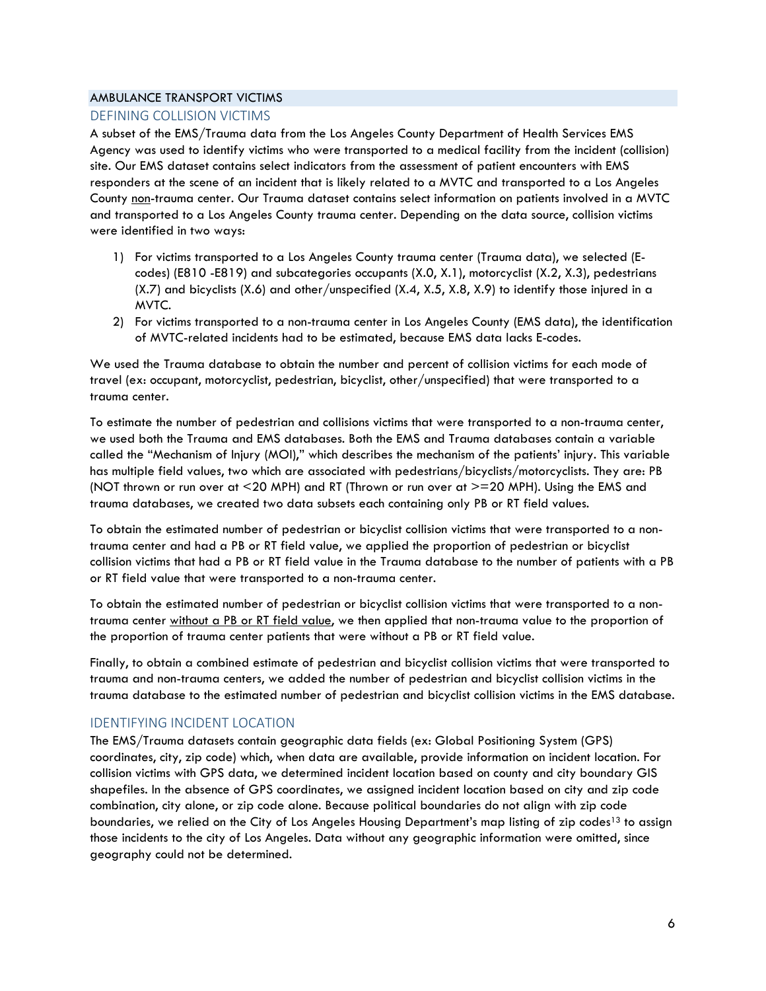#### AMBULANCE TRANSPORT VICTIMS

#### DEFINING COLLISION VICTIMS

A subset of the EMS/Trauma data from the Los Angeles County Department of Health Services EMS Agency was used to identify victims who were transported to a medical facility from the incident (collision) site. Our EMS dataset contains select indicators from the assessment of patient encounters with EMS responders at the scene of an incident that is likely related to a MVTC and transported to a Los Angeles County non-trauma center. Our Trauma dataset contains select information on patients involved in a MVTC and transported to a Los Angeles County trauma center. Depending on the data source, collision victims were identified in two ways:

- 1) For victims transported to a Los Angeles County trauma center (Trauma data), we selected (Ecodes) (E810 -E819) and subcategories occupants (X.0, X.1), motorcyclist (X.2, X.3), pedestrians (X.7) and bicyclists (X.6) and other/unspecified (X.4, X.5, X.8, X.9) to identify those injured in a MVTC.
- 2) For victims transported to a non-trauma center in Los Angeles County (EMS data), the identification of MVTC-related incidents had to be estimated, because EMS data lacks E-codes.

We used the Trauma database to obtain the number and percent of collision victims for each mode of travel (ex: occupant, motorcyclist, pedestrian, bicyclist, other/unspecified) that were transported to a trauma center.

To estimate the number of pedestrian and collisions victims that were transported to a non-trauma center, we used both the Trauma and EMS databases. Both the EMS and Trauma databases contain a variable called the "Mechanism of Injury (MOI)," which describes the mechanism of the patients' injury. This variable has multiple field values, two which are associated with pedestrians/bicyclists/motorcyclists. They are: PB (NOT thrown or run over at <20 MPH) and RT (Thrown or run over at >=20 MPH). Using the EMS and trauma databases, we created two data subsets each containing only PB or RT field values.

To obtain the estimated number of pedestrian or bicyclist collision victims that were transported to a nontrauma center and had a PB or RT field value, we applied the proportion of pedestrian or bicyclist collision victims that had a PB or RT field value in the Trauma database to the number of patients with a PB or RT field value that were transported to a non-trauma center.

To obtain the estimated number of pedestrian or bicyclist collision victims that were transported to a nontrauma center without a PB or RT field value, we then applied that non-trauma value to the proportion of the proportion of trauma center patients that were without a PB or RT field value.

Finally, to obtain a combined estimate of pedestrian and bicyclist collision victims that were transported to trauma and non-trauma centers, we added the number of pedestrian and bicyclist collision victims in the trauma database to the estimated number of pedestrian and bicyclist collision victims in the EMS database.

#### IDENTIFYING INCIDENT LOCATION

The EMS/Trauma datasets contain geographic data fields (ex: Global Positioning System (GPS) coordinates, city, zip code) which, when data are available, provide information on incident location. For collision victims with GPS data, we determined incident location based on county and city boundary GIS shapefiles. In the absence of GPS coordinates, we assigned incident location based on city and zip code combination, city alone, or zip code alone. Because political boundaries do not align with zip code boundaries, we relied on the City of Los Angeles Housing Department's map listing of zip codes<sup>13</sup> to assign those incidents to the city of Los Angeles. Data without any geographic information were omitted, since geography could not be determined.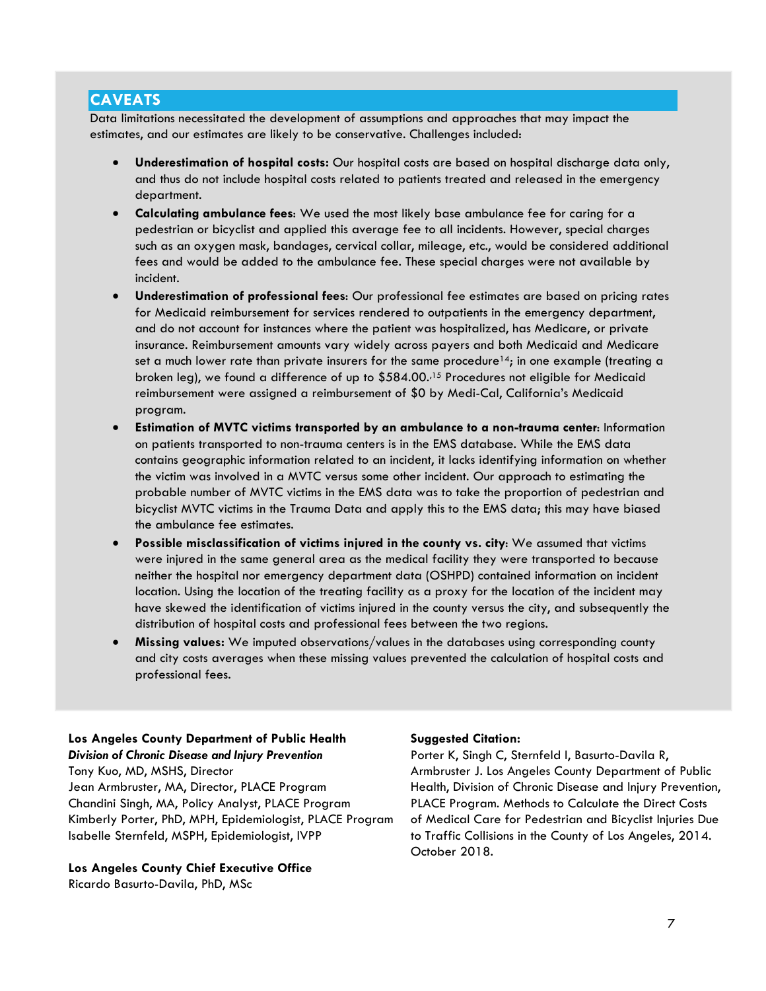## **CAVEATS**

Data limitations necessitated the development of assumptions and approaches that may impact the estimates, and our estimates are likely to be conservative. Challenges included:

- **Underestimation of hospital costs:** Our hospital costs are based on hospital discharge data only, and thus do not include hospital costs related to patients treated and released in the emergency department.
- **Calculating ambulance fees**: We used the most likely base ambulance fee for caring for a pedestrian or bicyclist and applied this average fee to all incidents. However, special charges such as an oxygen mask, bandages, cervical collar, mileage, etc., would be considered additional fees and would be added to the ambulance fee. These special charges were not available by incident.
- **Underestimation of professional fees**: Our professional fee estimates are based on pricing rates for Medicaid reimbursement for services rendered to outpatients in the emergency department, and do not account for instances where the patient was hospitalized, has Medicare, or private insurance. Reimbursement amounts vary widely across payers and both Medicaid and Medicare set a much lower rate than private insurers for the same procedure<sup>14</sup>; in one example (treating a broken leg), we found a difference of up to \$584.00.,15 Procedures not eligible for Medicaid reimbursement were assigned a reimbursement of \$0 by Medi-Cal, California's Medicaid program.
- **Estimation of MVTC victims transported by an ambulance to a non-trauma center**: Information on patients transported to non-trauma centers is in the EMS database. While the EMS data contains geographic information related to an incident, it lacks identifying information on whether the victim was involved in a MVTC versus some other incident. Our approach to estimating the probable number of MVTC victims in the EMS data was to take the proportion of pedestrian and bicyclist MVTC victims in the Trauma Data and apply this to the EMS data; this may have biased the ambulance fee estimates.
- **Possible misclassification of victims injured in the county vs. city**: We assumed that victims were injured in the same general area as the medical facility they were transported to because neither the hospital nor emergency department data (OSHPD) contained information on incident location. Using the location of the treating facility as a proxy for the location of the incident may have skewed the identification of victims injured in the county versus the city, and subsequently the distribution of hospital costs and professional fees between the two regions.
- **Missing values:** We imputed observations/values in the databases using corresponding county and city costs averages when these missing values prevented the calculation of hospital costs and professional fees.

#### **Los Angeles County Department of Public Health** *Division of Chronic Disease and Injury Prevention*

Tony Kuo, MD, MSHS, Director Jean Armbruster, MA, Director, PLACE Program Chandini Singh, MA, Policy Analyst, PLACE Program Kimberly Porter, PhD, MPH, Epidemiologist, PLACE Program Isabelle Sternfeld, MSPH, Epidemiologist, IVPP

**Los Angeles County Chief Executive Office**  Ricardo Basurto-Davila, PhD, MSc

#### **Suggested Citation:**

Porter K, Singh C, Sternfeld I, Basurto-Davila R, Armbruster J. Los Angeles County Department of Public Health, Division of Chronic Disease and Injury Prevention, PLACE Program. Methods to Calculate the Direct Costs of Medical Care for Pedestrian and Bicyclist Injuries Due to Traffic Collisions in the County of Los Angeles, 2014. October 2018.